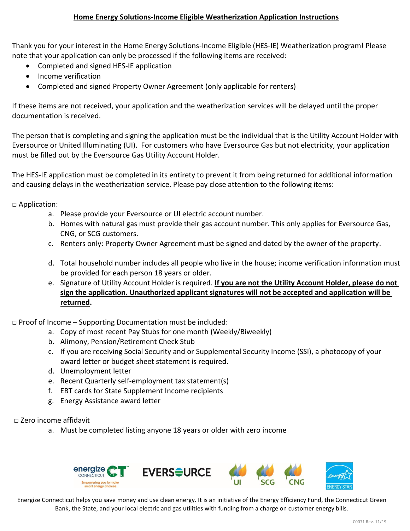Thank you for your interest in the Home Energy Solutions-Income Eligible (HES-IE) Weatherization program! Please note that your application can only be processed if the following items are received:

- Completed and signed HES-IE application
- Income verification
- Completed and signed Property Owner Agreement (only applicable for renters)

If these items are not received, your application and the weatherization services will be delayed until the proper documentation is received.

The person that is completing and signing the application must be the individual that is the Utility Account Holder with Eversource or United Illuminating (UI). For customers who have Eversource Gas but not electricity, your application must be filled out by the Eversource Gas Utility Account Holder.

The HES-IE application must be completed in its entirety to prevent it from being returned for additional information and causing delays in the weatherization service. Please pay close attention to the following items:

□ Application:

- a. Please provide your Eversource or UI electric account number.
- b. Homes with natural gas must provide their gas account number. This only applies for Eversource Gas, CNG, or SCG customers.
- c. Renters only: Property Owner Agreement must be signed and dated by the owner of the property.
- d. Total household number includes all people who live in the house; income verification information must be provided for each person 18 years or older.
- e. Signature of Utility Account Holder is required. **If you are not the Utility Account Holder, please do not sign the application. Unauthorized applicant signatures will not be accepted and application will be returned.**

 $\Box$  Proof of Income – Supporting Documentation must be included:

- a. Copy of most recent Pay Stubs for one month (Weekly/Biweekly)
- b. Alimony, Pension/Retirement Check Stub
- c. If you are receiving Social Security and or Supplemental Security Income (SSI), a photocopy of your award letter or budget sheet statement is required.
- d. Unemployment letter
- e. Recent Quarterly self-employment tax statement(s)
- f. EBT cards for State Supplement Income recipients
- g. Energy Assistance award letter

□ Zero income affidavit

a. Must be completed listing anyone 18 years or older with zero income



Energize Connecticut helps you save money and use clean energy. It is an initiative of the Energy Efficiency Fund, the Connecticut Green Bank, the State, and your local electric and gas utilities with funding from a charge on customer energy bills.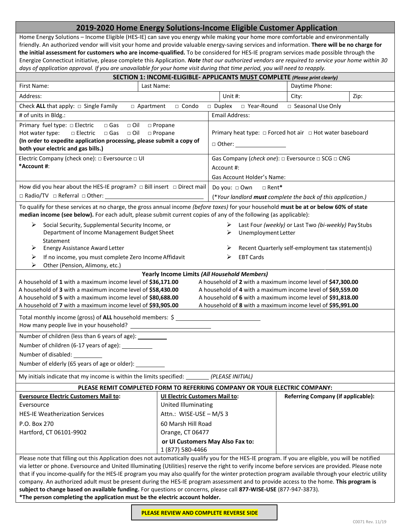# **2019-2020 Home Energy Solutions-Income Eligible Customer Application**

Home Energy Solutions – Income Eligible (HES-IE) can save you energy while making your home more comfortable and environmentally friendly. An authorized vendor will visit your home and provide valuable energy-saving services and information. **There will be no charge for the initial assessment for customers who are income-qualified.** To be considered for HES-IE program services made possible through the Energize Connecticut initiative, please complete this Application. *Note that our authorized vendors are required to service your home within 30* days of application approval. If you are unavailable for your home visit during that time period, you will need to reapply.

| SECTION 1: INCOME-ELIGIBLE- APPLICANTS MUST COMPLETE (Please print clearly)                                                                                                                                                                                                                            |                                                                                          |                                                                     |  |                                                   |      |  |  |  |
|--------------------------------------------------------------------------------------------------------------------------------------------------------------------------------------------------------------------------------------------------------------------------------------------------------|------------------------------------------------------------------------------------------|---------------------------------------------------------------------|--|---------------------------------------------------|------|--|--|--|
| Last Name:<br>First Name:                                                                                                                                                                                                                                                                              |                                                                                          |                                                                     |  | Daytime Phone:                                    |      |  |  |  |
| Address:                                                                                                                                                                                                                                                                                               |                                                                                          | Unit #:                                                             |  | City:                                             | Zip: |  |  |  |
| Check ALL that apply: $\Box$ Single Family<br>□ Apartment                                                                                                                                                                                                                                              | □ Condo                                                                                  | □ Duplex □ Year-Round                                               |  | □ Seasonal Use Only                               |      |  |  |  |
| # of units in Bldg.:                                                                                                                                                                                                                                                                                   |                                                                                          | <b>Email Address:</b>                                               |  |                                                   |      |  |  |  |
| Primary fuel type: □ Electric<br>□ Gas □ Oil □ Propane                                                                                                                                                                                                                                                 |                                                                                          |                                                                     |  |                                                   |      |  |  |  |
| Hot water type: $\Box$ Electric $\Box$ Gas<br>$\Box$ Oil                                                                                                                                                                                                                                               | □ Propane                                                                                | Primary heat type: $\Box$ Forced hot air $\Box$ Hot water baseboard |  |                                                   |      |  |  |  |
| (In order to expedite application processing, please submit a copy of                                                                                                                                                                                                                                  |                                                                                          | $\Box$ Other:                                                       |  |                                                   |      |  |  |  |
| both your electric and gas bills.)                                                                                                                                                                                                                                                                     |                                                                                          |                                                                     |  |                                                   |      |  |  |  |
| Electric Company (check one): $\Box$ Eversource $\Box$ UI<br>*Account #:                                                                                                                                                                                                                               | Gas Company (check one): $\Box$ Eversource $\Box$ SCG $\Box$ CNG<br>Account #:           |                                                                     |  |                                                   |      |  |  |  |
|                                                                                                                                                                                                                                                                                                        |                                                                                          |                                                                     |  |                                                   |      |  |  |  |
| How did you hear about the HES-IE program? $\Box$ Bill insert $\Box$ Direct mail                                                                                                                                                                                                                       | Gas Account Holder's Name:                                                               |                                                                     |  |                                                   |      |  |  |  |
|                                                                                                                                                                                                                                                                                                        | Do you: □ Own<br>□ Rent*<br>(*Your landlord must complete the back of this application.) |                                                                     |  |                                                   |      |  |  |  |
|                                                                                                                                                                                                                                                                                                        |                                                                                          |                                                                     |  |                                                   |      |  |  |  |
| To qualify for these services at no charge, the gross annual income (before taxes) for your household must be at or below 60% of state<br>median income (see below). For each adult, please submit current copies of any of the following (as applicable):                                             |                                                                                          |                                                                     |  |                                                   |      |  |  |  |
| ≻<br>Social Security, Supplemental Security Income, or<br>> Last Four (weekly) or Last Two (bi-weekly) Pay Stubs                                                                                                                                                                                       |                                                                                          |                                                                     |  |                                                   |      |  |  |  |
| Department of Income Management Budget Sheet                                                                                                                                                                                                                                                           |                                                                                          | Unemployment Letter<br>➤                                            |  |                                                   |      |  |  |  |
| Statement                                                                                                                                                                                                                                                                                              |                                                                                          |                                                                     |  |                                                   |      |  |  |  |
| <b>Energy Assistance Award Letter</b><br>➤                                                                                                                                                                                                                                                             |                                                                                          |                                                                     |  | Recent Quarterly self-employment tax statement(s) |      |  |  |  |
| ➤<br>If no income, you must complete Zero Income Affidavit<br>⋗                                                                                                                                                                                                                                        |                                                                                          | <b>EBT Cards</b><br>⋗                                               |  |                                                   |      |  |  |  |
| Other (Pension, Alimony, etc.)                                                                                                                                                                                                                                                                         |                                                                                          |                                                                     |  |                                                   |      |  |  |  |
| Yearly Income Limits (All Household Members)<br>A household of 1 with a maximum income level of \$36,171.00<br>A household of 2 with a maximum income level of \$47,300.00                                                                                                                             |                                                                                          |                                                                     |  |                                                   |      |  |  |  |
| A household of 3 with a maximum income level of \$58,430.00<br>A household of 4 with a maximum income level of \$69,559.00                                                                                                                                                                             |                                                                                          |                                                                     |  |                                                   |      |  |  |  |
| A household of 5 with a maximum income level of \$80,688.00<br>A household of 6 with a maximum income level of \$91,818.00                                                                                                                                                                             |                                                                                          |                                                                     |  |                                                   |      |  |  |  |
| A household of 8 with a maximum income level of \$95,991.00<br>A household of 7 with a maximum income level of \$93,905.00                                                                                                                                                                             |                                                                                          |                                                                     |  |                                                   |      |  |  |  |
| Total monthly income (gross) of ALL household members: \$                                                                                                                                                                                                                                              |                                                                                          |                                                                     |  |                                                   |      |  |  |  |
|                                                                                                                                                                                                                                                                                                        |                                                                                          |                                                                     |  |                                                   |      |  |  |  |
| Number of children (less than 6 years of age):                                                                                                                                                                                                                                                         |                                                                                          |                                                                     |  |                                                   |      |  |  |  |
| Number of children (6-17 years of age): __________                                                                                                                                                                                                                                                     |                                                                                          |                                                                     |  |                                                   |      |  |  |  |
| Number of disabled: __________                                                                                                                                                                                                                                                                         |                                                                                          |                                                                     |  |                                                   |      |  |  |  |
| Number of elderly (65 years of age or older):                                                                                                                                                                                                                                                          |                                                                                          |                                                                     |  |                                                   |      |  |  |  |
| My initials indicate that my income is within the limits specified:                                                                                                                                                                                                                                    |                                                                                          | (PLEASE INITIAL)                                                    |  |                                                   |      |  |  |  |
| PLEASE REMIT COMPLETED FORM TO REFERRING COMPANY OR YOUR ELECTRIC COMPANY:                                                                                                                                                                                                                             |                                                                                          |                                                                     |  |                                                   |      |  |  |  |
| <b>Eversource Electric Customers Mail to:</b>                                                                                                                                                                                                                                                          | <b>UI Electric Customers Mail to:</b>                                                    |                                                                     |  | <b>Referring Company (if applicable):</b>         |      |  |  |  |
| Eversource                                                                                                                                                                                                                                                                                             | United Illuminating                                                                      |                                                                     |  |                                                   |      |  |  |  |
| <b>HES-IE Weatherization Services</b>                                                                                                                                                                                                                                                                  | Attn.: WISE-USE - M/S 3                                                                  |                                                                     |  |                                                   |      |  |  |  |
| P.O. Box 270                                                                                                                                                                                                                                                                                           | 60 Marsh Hill Road                                                                       |                                                                     |  |                                                   |      |  |  |  |
| Hartford, CT 06101-9902                                                                                                                                                                                                                                                                                | Orange, CT 06477                                                                         |                                                                     |  |                                                   |      |  |  |  |
| or UI Customers May Also Fax to:                                                                                                                                                                                                                                                                       |                                                                                          |                                                                     |  |                                                   |      |  |  |  |
| 1 (877) 580-4466                                                                                                                                                                                                                                                                                       |                                                                                          |                                                                     |  |                                                   |      |  |  |  |
| Please note that filling out this Application does not automatically qualify you for the HES-IE program. If you are eligible, you will be notified<br>via letter or phone. Eversource and United Illuminating (Utilities) reserve the right to verify income before services are provided. Please note |                                                                                          |                                                                     |  |                                                   |      |  |  |  |
| that if you income-qualify for the HES-IE program you may also qualify for the winter protection program available through your electric utility                                                                                                                                                       |                                                                                          |                                                                     |  |                                                   |      |  |  |  |
| company. An authorized adult must be present during the HES-IE program assessment and to provide access to the home. This program is                                                                                                                                                                   |                                                                                          |                                                                     |  |                                                   |      |  |  |  |
| subject to change based on available funding. For questions or concerns, please call 877-WISE-USE (877-947-3873).                                                                                                                                                                                      |                                                                                          |                                                                     |  |                                                   |      |  |  |  |
| *The person completing the application must be the electric account holder.                                                                                                                                                                                                                            |                                                                                          |                                                                     |  |                                                   |      |  |  |  |